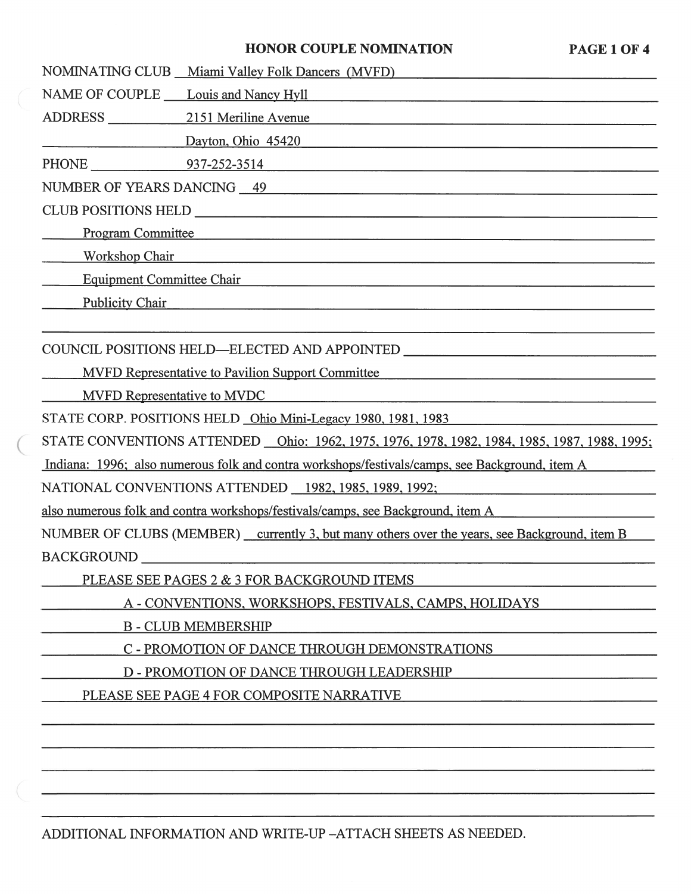#### **HONOR COUPLE NOMINATION PAGE 1 OF 4**

|                                                                                                                                                   | NOMINATING CLUB Miami Valley Folk Dancers (MVFD) |  |  |
|---------------------------------------------------------------------------------------------------------------------------------------------------|--------------------------------------------------|--|--|
| NAME OF COUPLE Louis and Nancy Hyll                                                                                                               |                                                  |  |  |
| ADDRESS 2151 Meriline Avenue                                                                                                                      |                                                  |  |  |
|                                                                                                                                                   | Dayton, Ohio 45420                               |  |  |
|                                                                                                                                                   |                                                  |  |  |
| NUMBER OF YEARS DANCING 49                                                                                                                        |                                                  |  |  |
|                                                                                                                                                   |                                                  |  |  |
| <b>Program Committee</b><br><u> 1980 - Andrea Santana de Antonio de Antonio de Antonio de Antonio de Antonio de Antonio de Antonio de Antonio</u> |                                                  |  |  |
| <b>Workshop Chair</b><br><u> 1989 - Johann Stoff, deutscher Stoff, der Stoff, der Stoff, der Stoff, der Stoff, der Stoff, der Stoff, der S</u>    |                                                  |  |  |
| <b>Equipment Committee Chair</b>                                                                                                                  |                                                  |  |  |
| <b>Publicity Chair</b>                                                                                                                            |                                                  |  |  |
|                                                                                                                                                   |                                                  |  |  |
| COUNCIL POSITIONS HELD—ELECTED AND APPOINTED ___________________________________                                                                  |                                                  |  |  |
| <b>MVFD Representative to Pavilion Support Committee</b>                                                                                          |                                                  |  |  |
| <b>MVFD Representative to MVDC</b>                                                                                                                |                                                  |  |  |
| STATE CORP. POSITIONS HELD Ohio Mini-Legacy 1980, 1981, 1983                                                                                      |                                                  |  |  |
| STATE CONVENTIONS ATTENDED <u>Ohio: 1962, 1975, 1976, 1978, 1982, 1984, 1985, 1987, 1988, 1995;</u>                                               |                                                  |  |  |
|                                                                                                                                                   |                                                  |  |  |

Indiana: 1996: also numerous folk and contra workshops/festivals/camps, see Background, item A

NATIONAL CONVENTIONS ATTENDED 1982,1985,1989.1992;

also numerous folk and contra workshops/festivals/camps, see Background, item A

NUMBER OF CLUBS (MEMBER) currently 3, but many others over the years, see Background, item B BACKGROUND

PLEASE SEE PAGES 2 & 3 FOR BACKGROUND ITEMS

**A** - CONVENTIONS. WORKSHOPS. FESTIVALS. CAMPS. HOLIDAYS

B - CLUB MEMBERSHIP

C - PROMOTION OF DANCE THROUGH DEMONSTRATIONS

D - PROMOTION OF DANCE THROUGH LEADERSHIP

PLEASE SEE PAGE 4 FOR COMPOSITE NARRATIVE

ADDITIONAL INFORMATION AND WRITE-UP -ATTACH SHEETS AS NEEDED.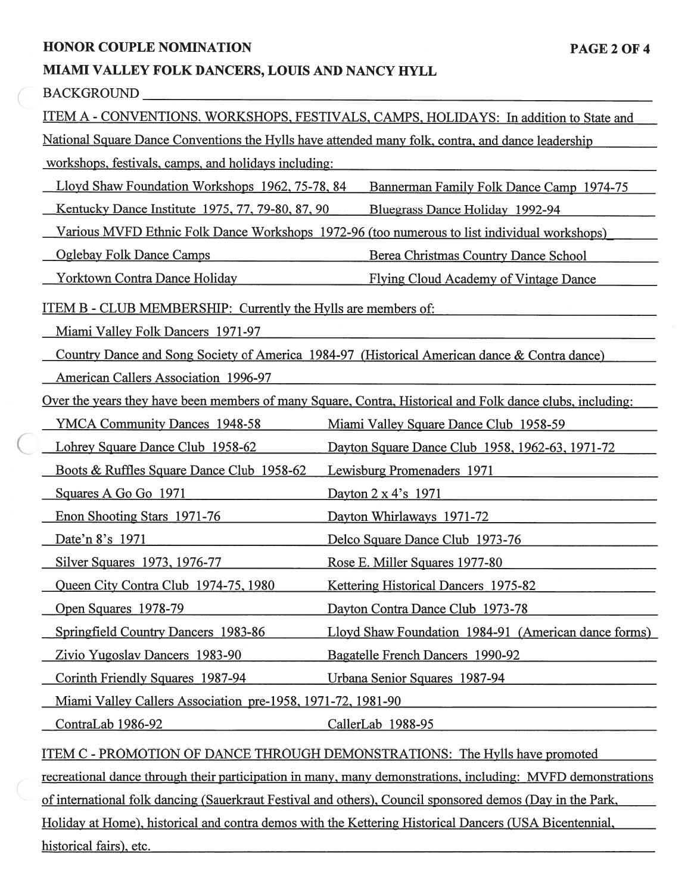#### **HONOR COUPLE NOMINATION PAGE 2 OF 4**

## **MIAMI VALLEY FOLK DANCERS, LOUIS AND NANCY HYLL**

|                                                                                             | <b>BACKGROUND</b>                                                                                                                 |                                                                                                           |  |  |
|---------------------------------------------------------------------------------------------|-----------------------------------------------------------------------------------------------------------------------------------|-----------------------------------------------------------------------------------------------------------|--|--|
| ITEM A - CONVENTIONS, WORKSHOPS, FESTIVALS, CAMPS, HOLIDAYS: In addition to State and       |                                                                                                                                   |                                                                                                           |  |  |
|                                                                                             | National Square Dance Conventions the Hylls have attended many folk, contra, and dance leadership                                 |                                                                                                           |  |  |
|                                                                                             | workshops, festivals, camps, and holidays including:                                                                              |                                                                                                           |  |  |
| Lloyd Shaw Foundation Workshops 1962, 75-78, 84<br>Bannerman Family Folk Dance Camp 1974-75 |                                                                                                                                   |                                                                                                           |  |  |
|                                                                                             | Kentucky Dance Institute 1975, 77, 79-80, 87, 90                                                                                  | Bluegrass Dance Holiday 1992-94                                                                           |  |  |
|                                                                                             | Various MVFD Ethnic Folk Dance Workshops 1972-96 (too numerous to list individual workshops)                                      |                                                                                                           |  |  |
|                                                                                             | <b>Oglebay Folk Dance Camps</b>                                                                                                   | Berea Christmas Country Dance School                                                                      |  |  |
|                                                                                             | <b>Yorktown Contra Dance Holiday</b>                                                                                              | Flying Cloud Academy of Vintage Dance                                                                     |  |  |
|                                                                                             | <u>ITEM B - CLUB MEMBERSHIP: Currently the Hylls are members of:</u>                                                              |                                                                                                           |  |  |
|                                                                                             | Miami Valley Folk Dancers 1971-97<br>Country Dance and Song Society of America 1984-97 (Historical American dance & Contra dance) |                                                                                                           |  |  |
|                                                                                             |                                                                                                                                   |                                                                                                           |  |  |
| <b>American Callers Association 1996-97</b>                                                 |                                                                                                                                   |                                                                                                           |  |  |
|                                                                                             |                                                                                                                                   | Over the years they have been members of many Square, Contra, Historical and Folk dance clubs, including: |  |  |
|                                                                                             | <b>YMCA Community Dances 1948-58</b>                                                                                              | Miami Valley Square Dance Club 1958-59                                                                    |  |  |
|                                                                                             | Lohrey Square Dance Club 1958-62                                                                                                  | Dayton Square Dance Club 1958, 1962-63, 1971-72                                                           |  |  |
|                                                                                             | Boots & Ruffles Square Dance Club 1958-62                                                                                         | Lewisburg Promenaders 1971                                                                                |  |  |
|                                                                                             | Squares A Go Go 1971                                                                                                              | Dayton 2 x 4's 1971                                                                                       |  |  |
|                                                                                             | Enon Shooting Stars 1971-76                                                                                                       | Dayton Whirlaways 1971-72                                                                                 |  |  |
|                                                                                             | Date'n 8's 1971                                                                                                                   | Delco Square Dance Club 1973-76                                                                           |  |  |
|                                                                                             | Silver Squares 1973, 1976-77                                                                                                      | Rose E. Miller Squares 1977-80                                                                            |  |  |
|                                                                                             | Queen City Contra Club 1974-75, 1980                                                                                              | Kettering Historical Dancers 1975-82                                                                      |  |  |
|                                                                                             | Open Squares 1978-79                                                                                                              | Dayton Contra Dance Club 1973-78                                                                          |  |  |
|                                                                                             | Springfield Country Dancers 1983-86                                                                                               | Lloyd Shaw Foundation 1984-91 (American dance forms)                                                      |  |  |
|                                                                                             | Zivio Yugoslav Dancers 1983-90                                                                                                    | Bagatelle French Dancers 1990-92                                                                          |  |  |
|                                                                                             | Corinth Friendly Squares 1987-94                                                                                                  | Urbana Senior Squares 1987-94                                                                             |  |  |
|                                                                                             | Miami Valley Callers Association pre-1958, 1971-72, 1981-90                                                                       |                                                                                                           |  |  |
|                                                                                             | ContraLab 1986-92                                                                                                                 | CallerLab 1988-95                                                                                         |  |  |
|                                                                                             |                                                                                                                                   |                                                                                                           |  |  |

ITEM C - PROMOTION OF DANCE THROUGH DEMONSTRATIONS: The Hvlls have promoted

recreational dance through their participation in many, many demonstrations, including: MVFD demonstrations

of international folk dancing (Sauerkraut Festival and others), Council sponsored demos (Day in the Park,

Holidav at Home). historical and contra demos with the Kettering Historical Dancers (USA Bicentennial, historical fairs). etc.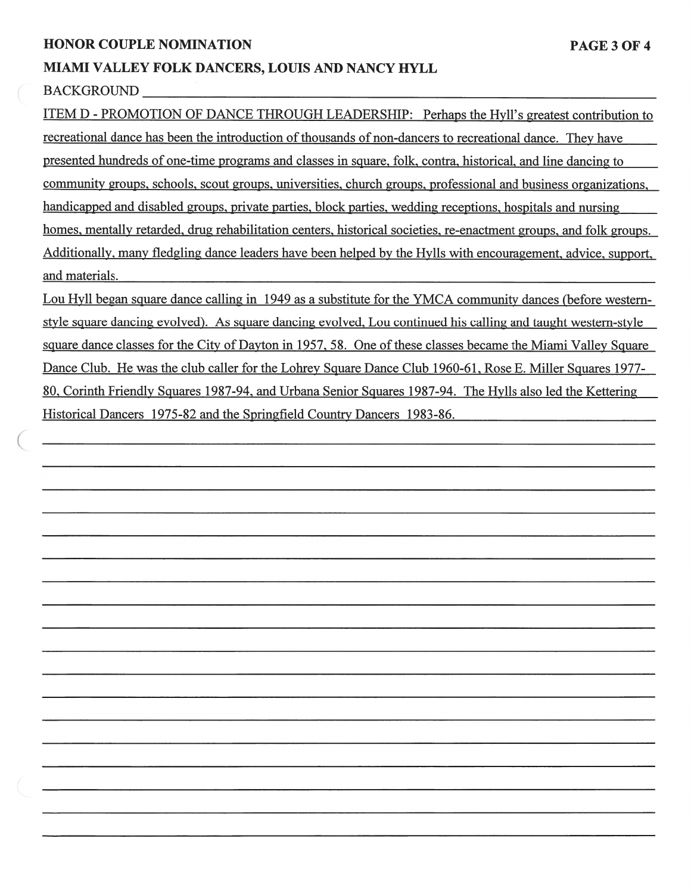#### **HONOR COUPLE NOMINATION** PAGE 3 OF 4

#### **MIAMI VALLEY FOLK DANCERS, LOUIS AND NANCY HYLL**

#### BACKGROUND

ITEM D - PROMOTION OF DANCE THROUGH LEADERSHIP: Perhaps the Hvll's greatest contribution to recreational dance has been the introduction of thousands of non-dancers to recreational dance. Thev have presented hundreds of one-time programs and classes in square, folk, contra. historical. and line dancing to community groups, schools, scout groups, universities. church groups. professional and business organizations, handicapped and disabled groups, private parties. block parties, wedding receptions. hospitals and nursing homes, mentally retarded, drug rehabilitation centers, historical societies, re-enactment groups, and folk groups. Additionally. **maw** fledgling dance leaders have been helped by the Hvlls with encouragement. advice, support, and materials.

Lou Hyll began square dance calling in 1949 as a substitute for the YMCA community dances (before westernstyle square dancing evolved). As square dancing evolved, Lou continued his calling and taught western-style square dance classes for the City of Dayton in 1957.58. One of these classes became the Miami Valley Square Dance Club. He was the club caller for the Lohrev Square Dance Club 1960-61. Rose E. Miller Squares 1977- 80. Corinth Friendly Squares 1987-94. and Urbana Senior Squares 1987-94. The Hvlls also led the Kettering Historical Dancers 1975-82 and the Springfield Country Dancers 1983-86.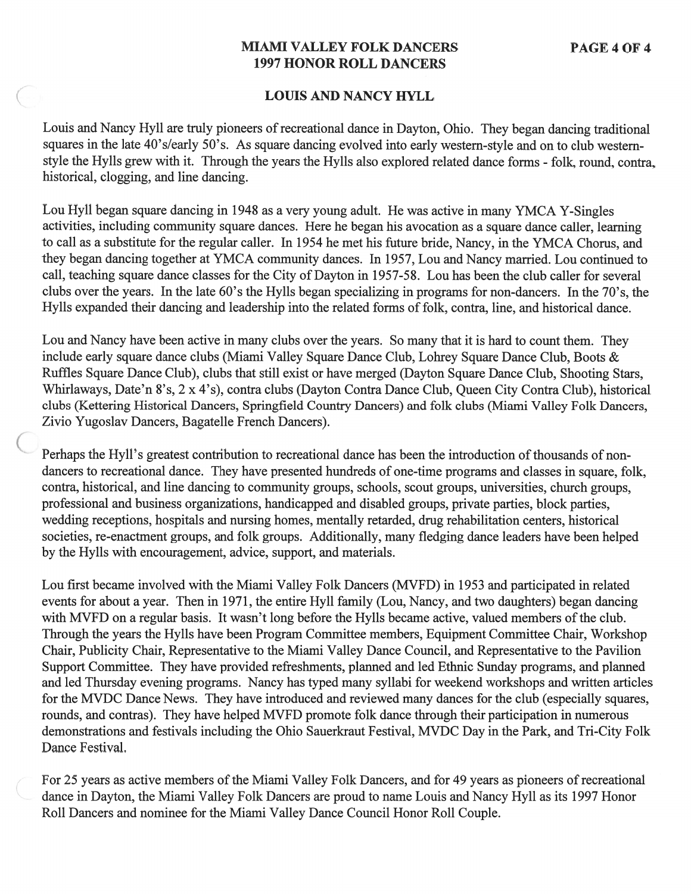### **MIAMI VALLEY FOLK DANCERS 1997 HONOR ROLL DANCERS**

#### **LOUIS AND NANCY HYLL**

Louis and Nancy Hyll are truly pioneers of recreational dance in Dayton, Ohio. They began dancing traditional squares in the late 40's/early 50's. As square dancing evolved into early western-style and on to club westernstyle the Hylls grew with it. Through the years the Hylls also explored related dance forms - folk, round, contra, historical, clogging, and line dancing.

Lou Hyll began square dancing in 1948 as a very young adult. He was active in many YMCA Y-Singles activities, including community square dances. Here he began his avocation as a square dance caller, learning to call as a substitute for the regular caller. In 1954 he met his future bride, Nancy, in the YMCA Chorus, and they began dancing together at YMCA community dances. In 1957, Lou and Nancy married. Lou continued to call, teaching square dance classes for the City of Dayton in 1957-58. Lou has been the club caller for several clubs over the years. In the late 60's the Hylls began specializing in programs for non-dancers. In the 70's, the Hylls expanded their dancing and leadership into the related forms of folk, contra, line, and historical dance.

Lou and Nancy have been active in many clubs over the years. So many that it is hard to count them. They include early square dance clubs (Miami Valley Square Dance Club, Lohrey Square Dance Club, Boots & Ruffles Square Dance Club), clubs that still exist or have merged (Dayton Square Dance Club, Shooting Stars, Whirlaways, Date'n 8's, 2 x 4's), contra clubs (Dayton Contra Dance Club, Queen City Contra Club), historical clubs (Kettering Historical Dancers, Springfield Country Dancers) and folk clubs (Miami Valley Folk Dancers, Zivio Yugoslav Dancers, Bagatelle French Dancers).

Perhaps the Hyll's greatest contribution to recreational dance has been the introduction of thousands of nondancers to recreational dance. They have presented hundreds of one-time programs and classes in square, folk, contra, historical, and line dancing to community groups, schools, scout groups, universities, church groups, professional and business organizations, handicapped and disabled groups, private parties, block parties, wedding receptions, hospitals and nursing homes, mentally retarded, drug rehabilitation centers, historical societies, re-enactment groups, and folk groups. Additionally, many fledging dance leaders have been helped by the Hylls with encouragement, advice, support, and materials.

Lou first became involved with the Miami Valley Folk Dancers (MVFD) in 1953 and participated in related events for about a year. Then in 1971, the entire Hyll family (Lou, Nancy, and two daughters) began dancing with MVFD on a regular basis. It wasn't long before the Hylls became active, valued members of the club. Through the years the Hylls have been Program Committee members, Equipment Committee Chair, Workshop Chair, Publicity Chair, Representative to the Miami Valley Dance Council, and Representative to the Pavilion Support Committee. They have provided refreshments, planned and led Ethnic Sunday programs, and planned and led Thursday evening programs. Nancy has typed many syllabi for weekend workshops and written articles for the MVDC Dance News. They have introduced and reviewed many dances for the club (especially squares, rounds, and contras). They have helped MVFD promote folk dance through their participation in numerous demonstrations and festivals including the Ohio Sauerkraut Festival, MVDC Day in the Park, and Tri-City Folk Dance Festival.

For 25 years as active members of the Miami Valley Folk Dancers, and for 49 years as pioneers of recreational dance in Dayton, the Miami Valley Folk Dancers are proud to name Louis and Nancy Hyll as its 1997 Honor Roll Dancers and nominee for the Miami Valley Dance Council Honor Roll Couple.